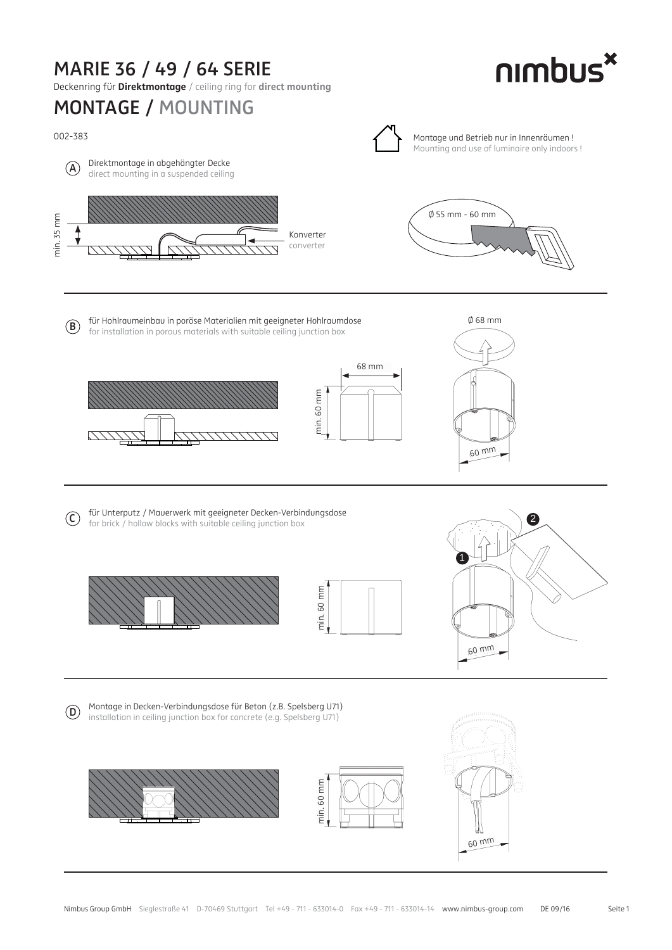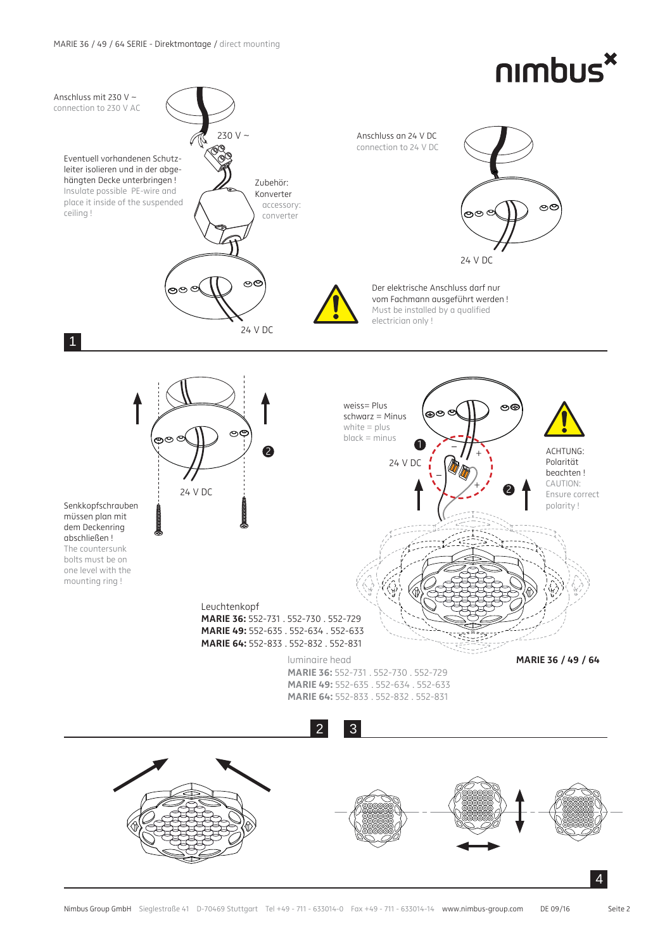## nimbus<sup>x</sup>